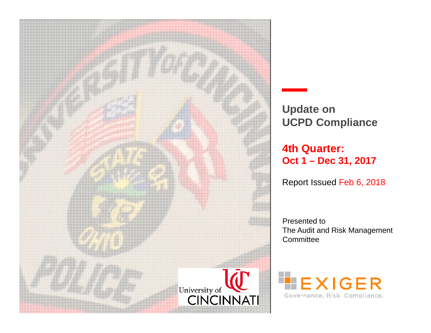

**Update on UCPD Compliance**

**4th Quarter: Oct 1 – Dec 31, 2017**

Report Issued Feb 6, 2018

Presented to The Audit and Risk Management **Committee** 

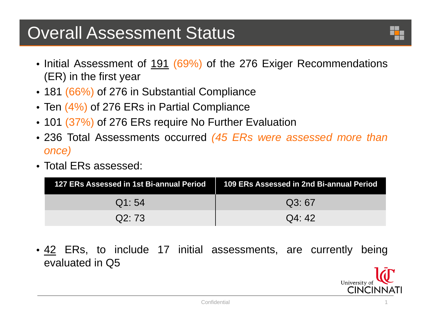# Overall Assessment Status

- Initial Assessment of <u>191</u> (69%) of the 276 Exiger Recommendations (ER) in the first year
- 181 (66%) of 276 in Substantial Compliance
- Ten (4%) of 276 ERs in Partial Compliance
- 101 (37%) of 276 ERs require No Further Evaluation
- 236 Total Assessments occurred *(45 ERs were assessed more than once)*
- Total ERs assessed:

| 127 ERs Assessed in 1st Bi-annual Period | 109 ERs Assessed in 2nd Bi-annual Period |
|------------------------------------------|------------------------------------------|
| Q1:54                                    | Q3:67                                    |
| Q2:73                                    | Q4:42                                    |

• <u>42</u> ERs, to include 17 initial assessments, are currently being evaluated in Q5

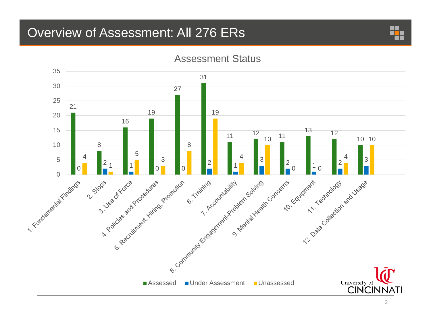## Overview of Assessment: All 276 ERs





### Assessment Status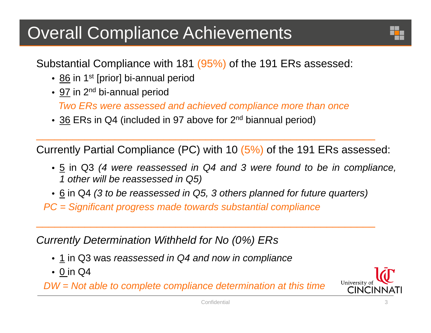# Overall Compliance Achievements

Substantial Compliance with 181 (95%) of the 191 ERs assessed:

- <u>86</u> in 1<sup>st</sup> [prior] bi-annual period
- <u>97</u> in 2<sup>nd</sup> bi-annual period

*Two ERs were assessed and achieved compliance more than once*

• 36 ERs in Q4 (included in 97 above for 2<sup>nd</sup> biannual period)

Currently Partial Compliance (PC) with 10 (5%) of the 191 ERs assessed:

- $\bullet$  5 in Q3 (4 were reassessed in Q4 and 3 were found to be in compliance, *1 other will be reassessed in Q5)*
- $\bullet$  6 in Q4 (3 to be reassessed in Q5, 3 others planned for future quarters)

 $\mathcal{L}_\mathcal{L}$  , and the set of the set of the set of the set of the set of the set of the set of the set of the set of the set of the set of the set of the set of the set of the set of the set of the set of the set of th

*PC <sup>=</sup> Significant progress made towards substantial compliance*

*Currently Determination Withheld for No (0%) ERs*

- 1 in Q3 was *reassessed in Q4 and now in compliance*
- 0 in Q4

*DW <sup>=</sup> Not able to complete compliance determination at this time*

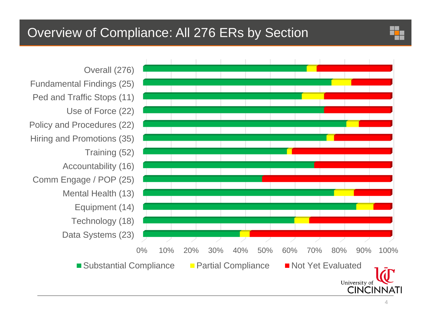## Overview of Compliance: All 276 ERs by Section

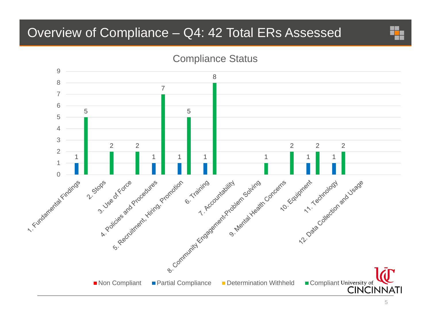## Overview of Compliance – Q4: 42 Total ERs Assessed



## Compliance Status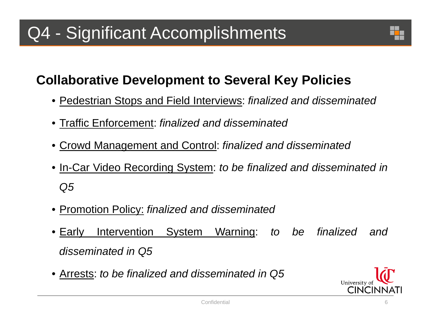# Q4 - Significant Accomplishments



## **Collaborative Development to Several Key Policies**

- Pedestrian Stops and Field Interviews: *finalized and disseminated*
- Traffic Enforcement: *finalized and disseminated*
- Crowd Management and Control: *finalized and disseminated*
- In-Car Video Recording System: *to be finalized and disseminated in Q5*
- Promotion Policy: *finalized and disseminated*
- Early Intervention System Warning: *to be finalized and disseminated in Q5*
- Arrests: *to be finalized and disseminated in Q5*

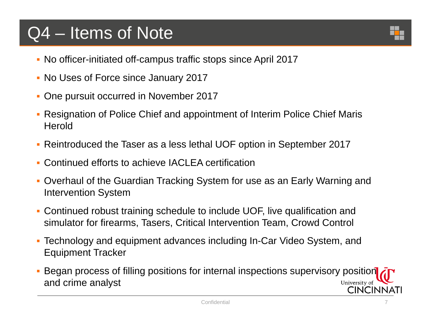# Q4 – Items of Note

- No officer-initiated off-campus traffic stops since April 2017
- No Uses of Force since January 2017
- One pursuit occurred in November 2017
- Resignation of Police Chief and appointment of Interim Police Chief Maris **Herold**
- Reintroduced the Taser as a less lethal UOF option in September 2017
- $\mathbf{r}$ Continued efforts to achieve IACLEA certification
- $\mathcal{L}_{\mathcal{A}}$  Overhaul of the Guardian Tracking System for use as an Early Warning and Intervention System
- Continued robust training schedule to include UOF, live qualification and simulator for firearms, Tasers, Critical Intervention Team, Crowd Control
- $\mathcal{L}_{\mathcal{A}}$  Technology and equipment advances including In-Car Video System, and Equipment Tracker
- Began process of filling positions for internal inspections supervisory position and crime analyst University of CINCINNATI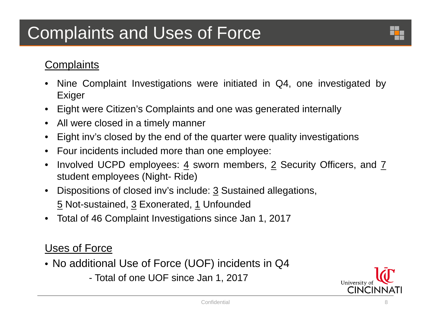# Complaints and Uses of Force

## **Complaints**

- $\bullet$  Nine Complaint Investigations were initiated in Q4, one investigated by Exiger
- $\bullet$ Eight were Citizen's Complaints and one was generated internally
- $\bullet$ All were closed in <sup>a</sup> timely manner
- $\bullet$ Eight inv's closed by the end of the quarter were quality investigations
- Four incidents included more than one employee:
- $\bullet$  Involved UCPD employees: 4 sworn members, 2 Security Officers, and 7 student employees (Night- Ride)
- $\bullet$ Dispositions of closed inv's include: 3 Sustained allegations, 5 Not-sustained, 3 Exonerated, 1 Unfounded
- •Total of 46 Complaint Investigations since Jan 1, 2017

## Uses of Force

- No additional Use of Force (UOF) incidents in Q4
	- Total of one UOF since Jan 1, 2017